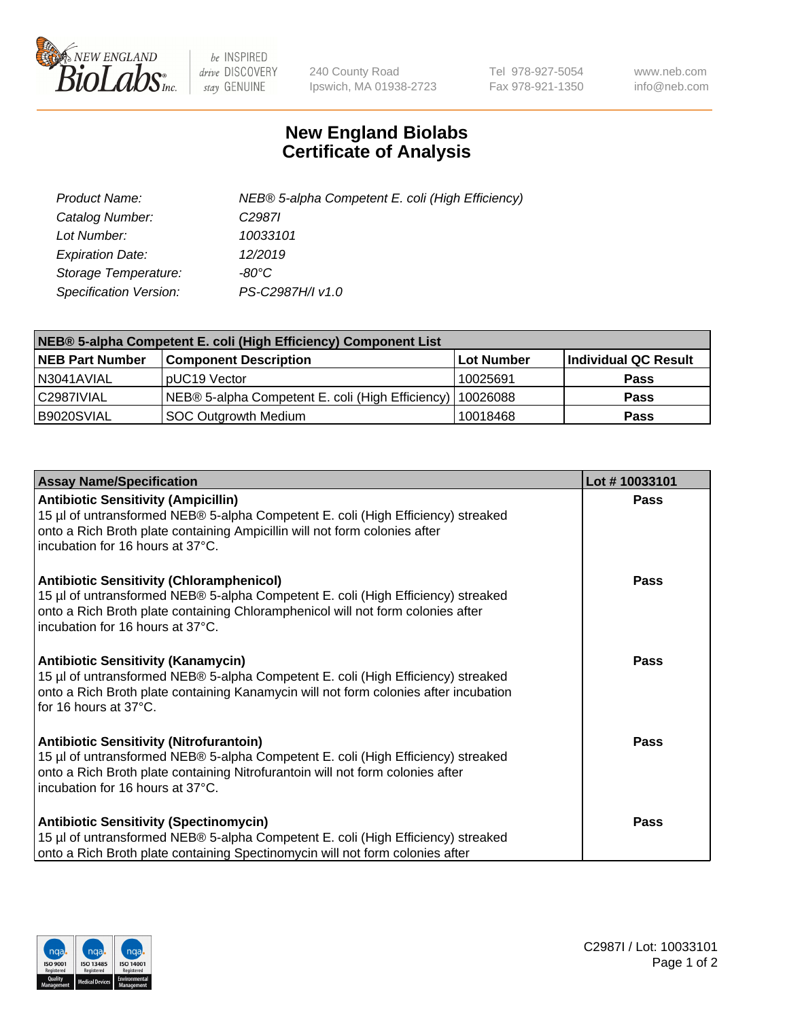

 $be$  INSPIRED drive DISCOVERY stay GENUINE

240 County Road Ipswich, MA 01938-2723 Tel 978-927-5054 Fax 978-921-1350 www.neb.com info@neb.com

## **New England Biolabs Certificate of Analysis**

| Product Name:           | NEB® 5-alpha Competent E. coli (High Efficiency) |
|-------------------------|--------------------------------------------------|
| Catalog Number:         | C <sub>2987</sub>                                |
| Lot Number:             | 10033101                                         |
| <b>Expiration Date:</b> | 12/2019                                          |
| Storage Temperature:    | -80°C                                            |
| Specification Version:  | PS-C2987H/I v1.0                                 |

| NEB® 5-alpha Competent E. coli (High Efficiency) Component List |                                                  |                   |                      |  |
|-----------------------------------------------------------------|--------------------------------------------------|-------------------|----------------------|--|
| <b>NEB Part Number</b>                                          | <b>Component Description</b>                     | <b>Lot Number</b> | Individual QC Result |  |
| N3041AVIAL                                                      | pUC19 Vector                                     | 10025691          | <b>Pass</b>          |  |
| C2987IVIAL                                                      | NEB® 5-alpha Competent E. coli (High Efficiency) | 10026088          | <b>Pass</b>          |  |
| B9020SVIAL                                                      | <b>SOC Outgrowth Medium</b>                      | 10018468          | <b>Pass</b>          |  |

| <b>Assay Name/Specification</b>                                                                                                                                                                                                                            | Lot #10033101 |
|------------------------------------------------------------------------------------------------------------------------------------------------------------------------------------------------------------------------------------------------------------|---------------|
| <b>Antibiotic Sensitivity (Ampicillin)</b><br>15 µl of untransformed NEB® 5-alpha Competent E. coli (High Efficiency) streaked<br>onto a Rich Broth plate containing Ampicillin will not form colonies after<br>incubation for 16 hours at 37°C.           | <b>Pass</b>   |
| <b>Antibiotic Sensitivity (Chloramphenicol)</b><br>15 µl of untransformed NEB® 5-alpha Competent E. coli (High Efficiency) streaked<br>onto a Rich Broth plate containing Chloramphenicol will not form colonies after<br>incubation for 16 hours at 37°C. | Pass          |
| Antibiotic Sensitivity (Kanamycin)<br>15 µl of untransformed NEB® 5-alpha Competent E. coli (High Efficiency) streaked<br>onto a Rich Broth plate containing Kanamycin will not form colonies after incubation<br>for 16 hours at 37°C.                    | Pass          |
| <b>Antibiotic Sensitivity (Nitrofurantoin)</b><br>15 µl of untransformed NEB® 5-alpha Competent E. coli (High Efficiency) streaked<br>onto a Rich Broth plate containing Nitrofurantoin will not form colonies after<br>incubation for 16 hours at 37°C.   | <b>Pass</b>   |
| <b>Antibiotic Sensitivity (Spectinomycin)</b><br>15 µl of untransformed NEB® 5-alpha Competent E. coli (High Efficiency) streaked<br>onto a Rich Broth plate containing Spectinomycin will not form colonies after                                         | Pass          |